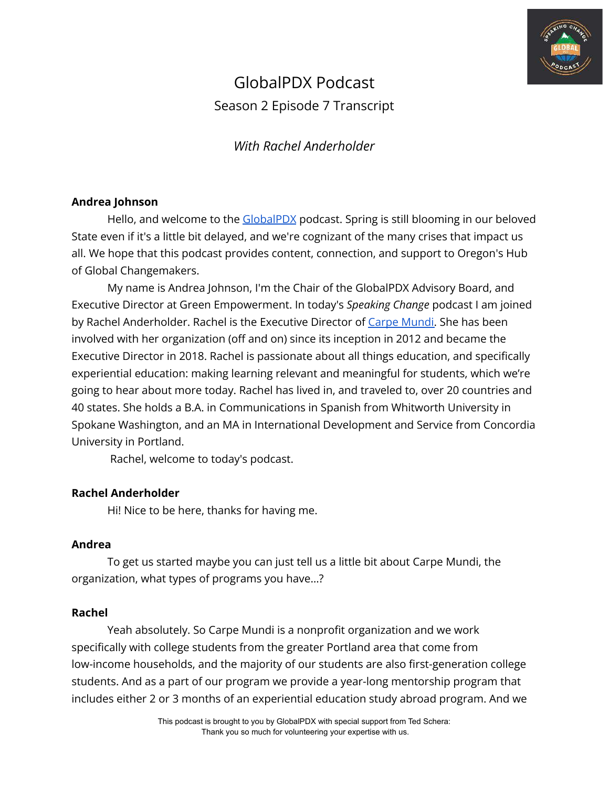

# GlobalPDX Podcast Season 2 Episode 7 Transcript

*With Rachel Anderholder*

## **Andrea Johnson**

Hello, and welcome to the [GlobalPDX](https://globalpdx.org/) podcast. Spring is still blooming in our beloved State even if it's a little bit delayed, and we're cognizant of the many crises that impact us all. We hope that this podcast provides content, connection, and support to Oregon's Hub of Global Changemakers.

My name is Andrea Johnson, I'm the Chair of the GlobalPDX Advisory Board, and Executive Director at Green Empowerment. In today's *Speaking Change* podcast I am joined by Rachel Anderholder. Rachel is the Executive Director of [Carpe Mundi.](https://www.carpemundi.org/) She has been involved with her organization (off and on) since its inception in 2012 and became the Executive Director in 2018. Rachel is passionate about all things education, and specifically experiential education: making learning relevant and meaningful for students, which we're going to hear about more today. Rachel has lived in, and traveled to, over 20 countries and 40 states. She holds a B.A. in Communications in Spanish from Whitworth University in Spokane Washington, and an MA in International Development and Service from Concordia University in Portland.

Rachel, welcome to today's podcast.

# **Rachel Anderholder**

Hi! Nice to be here, thanks for having me.

## **Andrea**

To get us started maybe you can just tell us a little bit about Carpe Mundi, the organization, what types of programs you have…?

## **Rachel**

Yeah absolutely. So Carpe Mundi is a nonprofit organization and we work specifically with college students from the greater Portland area that come from low-income households, and the majority of our students are also first-generation college students. And as a part of our program we provide a year-long mentorship program that includes either 2 or 3 months of an experiential education study abroad program. And we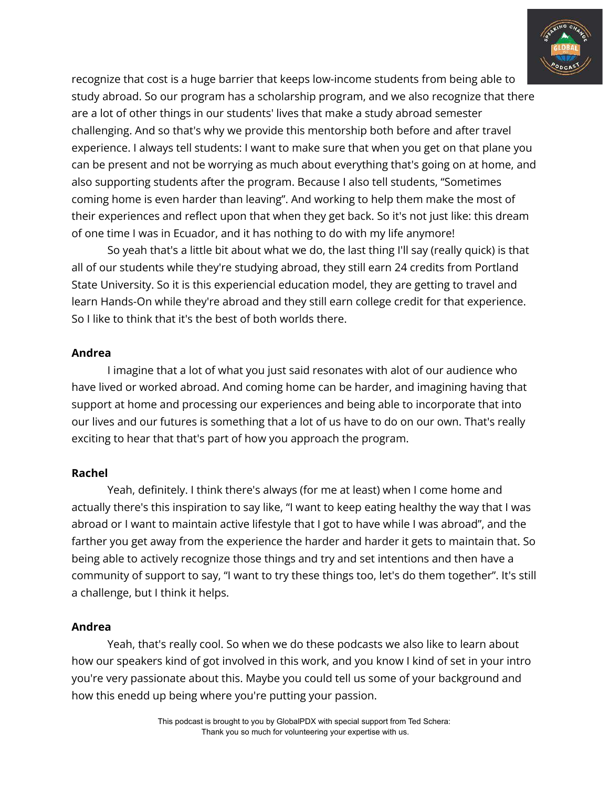

recognize that cost is a huge barrier that keeps low-income students from being able to study abroad. So our program has a scholarship program, and we also recognize that there are a lot of other things in our students' lives that make a study abroad semester challenging. And so that's why we provide this mentorship both before and after travel experience. I always tell students: I want to make sure that when you get on that plane you can be present and not be worrying as much about everything that's going on at home, and also supporting students after the program. Because I also tell students, "Sometimes coming home is even harder than leaving". And working to help them make the most of their experiences and reflect upon that when they get back. So it's not just like: this dream of one time I was in Ecuador, and it has nothing to do with my life anymore!

So yeah that's a little bit about what we do, the last thing I'll say (really quick) is that all of our students while they're studying abroad, they still earn 24 credits from Portland State University. So it is this experiencial education model, they are getting to travel and learn Hands-On while they're abroad and they still earn college credit for that experience. So I like to think that it's the best of both worlds there.

## **Andrea**

I imagine that a lot of what you just said resonates with alot of our audience who have lived or worked abroad. And coming home can be harder, and imagining having that support at home and processing our experiences and being able to incorporate that into our lives and our futures is something that a lot of us have to do on our own. That's really exciting to hear that that's part of how you approach the program.

## **Rachel**

Yeah, definitely. I think there's always (for me at least) when I come home and actually there's this inspiration to say like, "I want to keep eating healthy the way that I was abroad or I want to maintain active lifestyle that I got to have while I was abroad", and the farther you get away from the experience the harder and harder it gets to maintain that. So being able to actively recognize those things and try and set intentions and then have a community of support to say, "I want to try these things too, let's do them together". It's still a challenge, but I think it helps.

## **Andrea**

Yeah, that's really cool. So when we do these podcasts we also like to learn about how our speakers kind of got involved in this work, and you know I kind of set in your intro you're very passionate about this. Maybe you could tell us some of your background and how this enedd up being where you're putting your passion.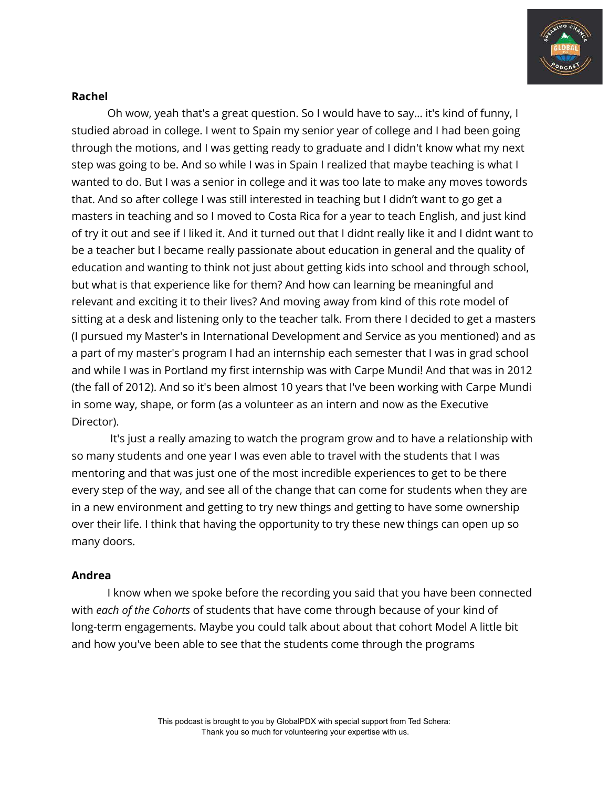

#### **Rachel**

Oh wow, yeah that's a great question. So I would have to say… it's kind of funny, I studied abroad in college. I went to Spain my senior year of college and I had been going through the motions, and I was getting ready to graduate and I didn't know what my next step was going to be. And so while I was in Spain I realized that maybe teaching is what I wanted to do. But I was a senior in college and it was too late to make any moves towords that. And so after college I was still interested in teaching but I didn't want to go get a masters in teaching and so I moved to Costa Rica for a year to teach English, and just kind of try it out and see if I liked it. And it turned out that I didnt really like it and I didnt want to be a teacher but I became really passionate about education in general and the quality of education and wanting to think not just about getting kids into school and through school, but what is that experience like for them? And how can learning be meaningful and relevant and exciting it to their lives? And moving away from kind of this rote model of sitting at a desk and listening only to the teacher talk. From there I decided to get a masters (I pursued my Master's in International Development and Service as you mentioned) and as a part of my master's program I had an internship each semester that I was in grad school and while I was in Portland my first internship was with Carpe Mundi! And that was in 2012 (the fall of 2012). And so it's been almost 10 years that I've been working with Carpe Mundi in some way, shape, or form (as a volunteer as an intern and now as the Executive Director).

It's just a really amazing to watch the program grow and to have a relationship with so many students and one year I was even able to travel with the students that I was mentoring and that was just one of the most incredible experiences to get to be there every step of the way, and see all of the change that can come for students when they are in a new environment and getting to try new things and getting to have some ownership over their life. I think that having the opportunity to try these new things can open up so many doors.

## **Andrea**

I know when we spoke before the recording you said that you have been connected with *each of the Cohorts* of students that have come through because of your kind of long-term engagements. Maybe you could talk about about that cohort Model A little bit and how you've been able to see that the students come through the programs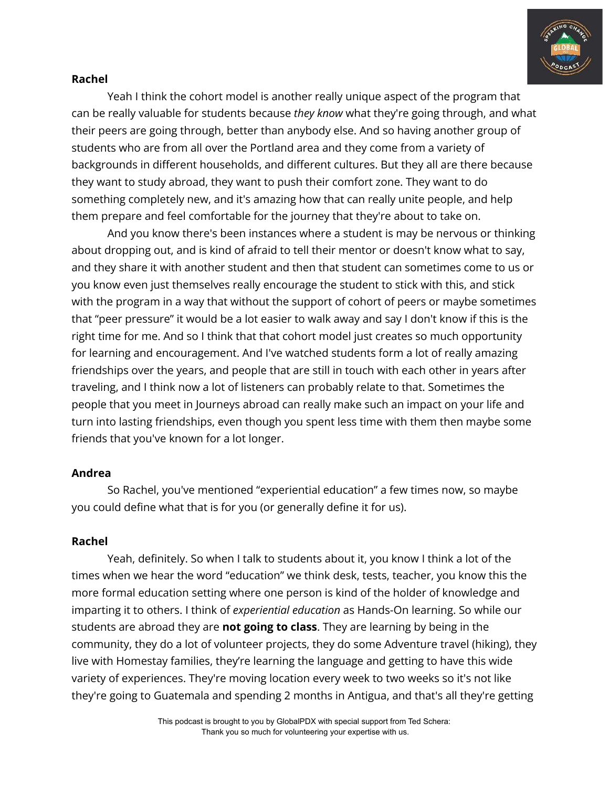

## **Rachel**

Yeah I think the cohort model is another really unique aspect of the program that can be really valuable for students because *they know* what they're going through, and what their peers are going through, better than anybody else. And so having another group of students who are from all over the Portland area and they come from a variety of backgrounds in different households, and different cultures. But they all are there because they want to study abroad, they want to push their comfort zone. They want to do something completely new, and it's amazing how that can really unite people, and help them prepare and feel comfortable for the journey that they're about to take on.

And you know there's been instances where a student is may be nervous or thinking about dropping out, and is kind of afraid to tell their mentor or doesn't know what to say, and they share it with another student and then that student can sometimes come to us or you know even just themselves really encourage the student to stick with this, and stick with the program in a way that without the support of cohort of peers or maybe sometimes that "peer pressure" it would be a lot easier to walk away and say I don't know if this is the right time for me. And so I think that that cohort model just creates so much opportunity for learning and encouragement. And I've watched students form a lot of really amazing friendships over the years, and people that are still in touch with each other in years after traveling, and I think now a lot of listeners can probably relate to that. Sometimes the people that you meet in Journeys abroad can really make such an impact on your life and turn into lasting friendships, even though you spent less time with them then maybe some friends that you've known for a lot longer.

## **Andrea**

So Rachel, you've mentioned "experiential education" a few times now, so maybe you could define what that is for you (or generally define it for us).

## **Rachel**

Yeah, definitely. So when I talk to students about it, you know I think a lot of the times when we hear the word "education" we think desk, tests, teacher, you know this the more formal education setting where one person is kind of the holder of knowledge and imparting it to others. I think of *experiential education* as Hands-On learning. So while our students are abroad they are **not going to class**. They are learning by being in the community, they do a lot of volunteer projects, they do some Adventure travel (hiking), they live with Homestay families, they're learning the language and getting to have this wide variety of experiences. They're moving location every week to two weeks so it's not like they're going to Guatemala and spending 2 months in Antigua, and that's all they're getting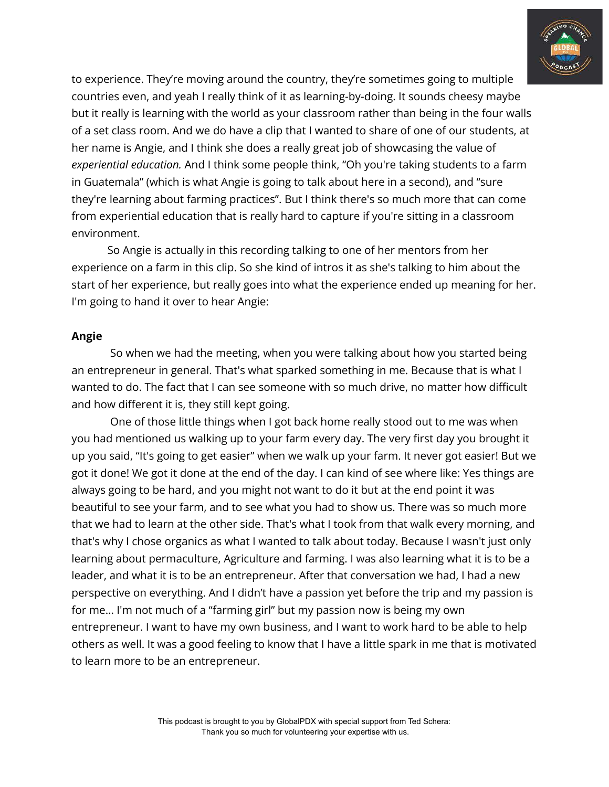

to experience. They're moving around the country, they're sometimes going to multiple countries even, and yeah I really think of it as learning-by-doing. It sounds cheesy maybe but it really is learning with the world as your classroom rather than being in the four walls of a set class room. And we do have a clip that I wanted to share of one of our students, at her name is Angie, and I think she does a really great job of showcasing the value of *experiential education.* And I think some people think, "Oh you're taking students to a farm in Guatemala" (which is what Angie is going to talk about here in a second), and "sure they're learning about farming practices". But I think there's so much more that can come from experiential education that is really hard to capture if you're sitting in a classroom environment.

So Angie is actually in this recording talking to one of her mentors from her experience on a farm in this clip. So she kind of intros it as she's talking to him about the start of her experience, but really goes into what the experience ended up meaning for her. I'm going to hand it over to hear Angie:

## **Angie**

So when we had the meeting, when you were talking about how you started being an entrepreneur in general. That's what sparked something in me. Because that is what I wanted to do. The fact that I can see someone with so much drive, no matter how difficult and how different it is, they still kept going.

One of those little things when I got back home really stood out to me was when you had mentioned us walking up to your farm every day. The very first day you brought it up you said, "It's going to get easier" when we walk up your farm. It never got easier! But we got it done! We got it done at the end of the day. I can kind of see where like: Yes things are always going to be hard, and you might not want to do it but at the end point it was beautiful to see your farm, and to see what you had to show us. There was so much more that we had to learn at the other side. That's what I took from that walk every morning, and that's why I chose organics as what I wanted to talk about today. Because I wasn't just only learning about permaculture, Agriculture and farming. I was also learning what it is to be a leader, and what it is to be an entrepreneur. After that conversation we had, I had a new perspective on everything. And I didn't have a passion yet before the trip and my passion is for me… I'm not much of a "farming girl" but my passion now is being my own entrepreneur. I want to have my own business, and I want to work hard to be able to help others as well. It was a good feeling to know that I have a little spark in me that is motivated to learn more to be an entrepreneur.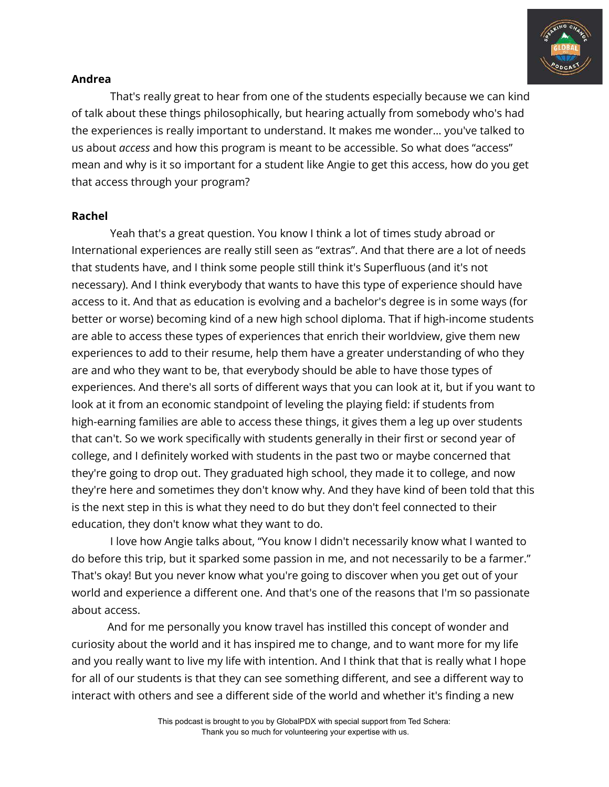

## **Andrea**

That's really great to hear from one of the students especially because we can kind of talk about these things philosophically, but hearing actually from somebody who's had the experiences is really important to understand. It makes me wonder… you've talked to us about *access* and how this program is meant to be accessible. So what does "access" mean and why is it so important for a student like Angie to get this access, how do you get that access through your program?

## **Rachel**

Yeah that's a great question. You know I think a lot of times study abroad or International experiences are really still seen as "extras". And that there are a lot of needs that students have, and I think some people still think it's Superfluous (and it's not necessary). And I think everybody that wants to have this type of experience should have access to it. And that as education is evolving and a bachelor's degree is in some ways (for better or worse) becoming kind of a new high school diploma. That if high-income students are able to access these types of experiences that enrich their worldview, give them new experiences to add to their resume, help them have a greater understanding of who they are and who they want to be, that everybody should be able to have those types of experiences. And there's all sorts of different ways that you can look at it, but if you want to look at it from an economic standpoint of leveling the playing field: if students from high-earning families are able to access these things, it gives them a leg up over students that can't. So we work specifically with students generally in their first or second year of college, and I definitely worked with students in the past two or maybe concerned that they're going to drop out. They graduated high school, they made it to college, and now they're here and sometimes they don't know why. And they have kind of been told that this is the next step in this is what they need to do but they don't feel connected to their education, they don't know what they want to do.

I love how Angie talks about, "You know I didn't necessarily know what I wanted to do before this trip, but it sparked some passion in me, and not necessarily to be a farmer." That's okay! But you never know what you're going to discover when you get out of your world and experience a different one. And that's one of the reasons that I'm so passionate about access.

And for me personally you know travel has instilled this concept of wonder and curiosity about the world and it has inspired me to change, and to want more for my life and you really want to live my life with intention. And I think that that is really what I hope for all of our students is that they can see something different, and see a different way to interact with others and see a different side of the world and whether it's finding a new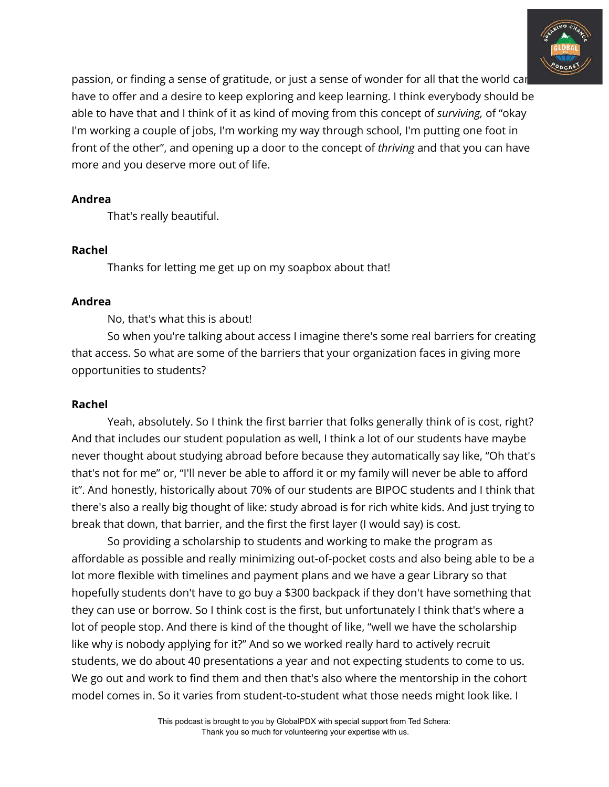

passion, or finding a sense of gratitude, or just a sense of wonder for all that the world can have to offer and a desire to keep exploring and keep learning. I think everybody should be able to have that and I think of it as kind of moving from this concept of *surviving,* of "okay I'm working a couple of jobs, I'm working my way through school, I'm putting one foot in front of the other", and opening up a door to the concept of *thriving* and that you can have more and you deserve more out of life.

## **Andrea**

That's really beautiful.

## **Rachel**

Thanks for letting me get up on my soapbox about that!

## **Andrea**

No, that's what this is about!

So when you're talking about access I imagine there's some real barriers for creating that access. So what are some of the barriers that your organization faces in giving more opportunities to students?

# **Rachel**

Yeah, absolutely. So I think the first barrier that folks generally think of is cost, right? And that includes our student population as well, I think a lot of our students have maybe never thought about studying abroad before because they automatically say like, "Oh that's that's not for me" or, "I'll never be able to afford it or my family will never be able to afford it". And honestly, historically about 70% of our students are BIPOC students and I think that there's also a really big thought of like: study abroad is for rich white kids. And just trying to break that down, that barrier, and the first the first layer (I would say) is cost.

So providing a scholarship to students and working to make the program as affordable as possible and really minimizing out-of-pocket costs and also being able to be a lot more flexible with timelines and payment plans and we have a gear Library so that hopefully students don't have to go buy a \$300 backpack if they don't have something that they can use or borrow. So I think cost is the first, but unfortunately I think that's where a lot of people stop. And there is kind of the thought of like, "well we have the scholarship like why is nobody applying for it?" And so we worked really hard to actively recruit students, we do about 40 presentations a year and not expecting students to come to us. We go out and work to find them and then that's also where the mentorship in the cohort model comes in. So it varies from student-to-student what those needs might look like. I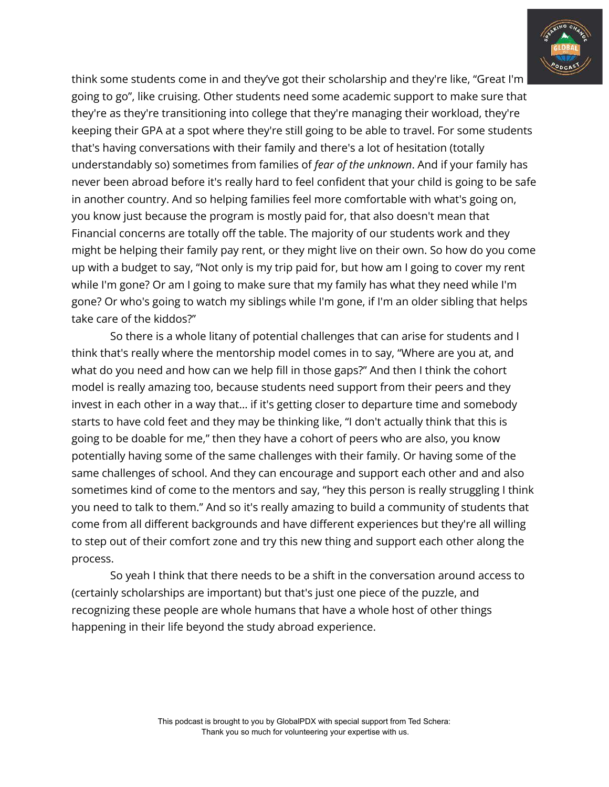

think some students come in and they've got their scholarship and they're like, "Great I'm going to go", like cruising. Other students need some academic support to make sure that they're as they're transitioning into college that they're managing their workload, they're keeping their GPA at a spot where they're still going to be able to travel. For some students that's having conversations with their family and there's a lot of hesitation (totally understandably so) sometimes from families of *fear of the unknown*. And if your family has never been abroad before it's really hard to feel confident that your child is going to be safe in another country. And so helping families feel more comfortable with what's going on, you know just because the program is mostly paid for, that also doesn't mean that Financial concerns are totally off the table. The majority of our students work and they might be helping their family pay rent, or they might live on their own. So how do you come up with a budget to say, "Not only is my trip paid for, but how am I going to cover my rent while I'm gone? Or am I going to make sure that my family has what they need while I'm gone? Or who's going to watch my siblings while I'm gone, if I'm an older sibling that helps take care of the kiddos?"

So there is a whole litany of potential challenges that can arise for students and I think that's really where the mentorship model comes in to say, "Where are you at, and what do you need and how can we help fill in those gaps?" And then I think the cohort model is really amazing too, because students need support from their peers and they invest in each other in a way that… if it's getting closer to departure time and somebody starts to have cold feet and they may be thinking like, "I don't actually think that this is going to be doable for me," then they have a cohort of peers who are also, you know potentially having some of the same challenges with their family. Or having some of the same challenges of school. And they can encourage and support each other and and also sometimes kind of come to the mentors and say, "hey this person is really struggling I think you need to talk to them." And so it's really amazing to build a community of students that come from all different backgrounds and have different experiences but they're all willing to step out of their comfort zone and try this new thing and support each other along the process.

So yeah I think that there needs to be a shift in the conversation around access to (certainly scholarships are important) but that's just one piece of the puzzle, and recognizing these people are whole humans that have a whole host of other things happening in their life beyond the study abroad experience.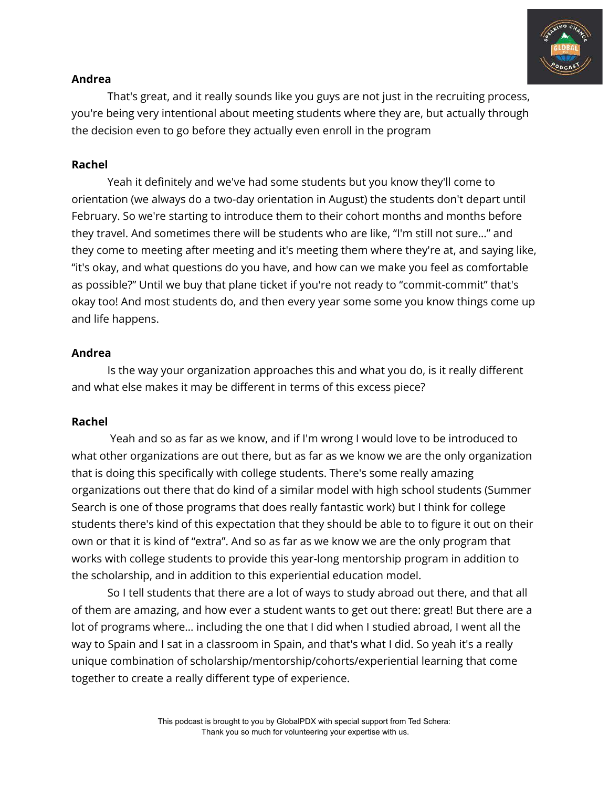

## **Andrea**

That's great, and it really sounds like you guys are not just in the recruiting process, you're being very intentional about meeting students where they are, but actually through the decision even to go before they actually even enroll in the program

## **Rachel**

Yeah it definitely and we've had some students but you know they'll come to orientation (we always do a two-day orientation in August) the students don't depart until February. So we're starting to introduce them to their cohort months and months before they travel. And sometimes there will be students who are like, "I'm still not sure…" and they come to meeting after meeting and it's meeting them where they're at, and saying like, "it's okay, and what questions do you have, and how can we make you feel as comfortable as possible?" Until we buy that plane ticket if you're not ready to "commit-commit" that's okay too! And most students do, and then every year some some you know things come up and life happens.

## **Andrea**

Is the way your organization approaches this and what you do, is it really different and what else makes it may be different in terms of this excess piece?

## **Rachel**

Yeah and so as far as we know, and if I'm wrong I would love to be introduced to what other organizations are out there, but as far as we know we are the only organization that is doing this specifically with college students. There's some really amazing organizations out there that do kind of a similar model with high school students (Summer Search is one of those programs that does really fantastic work) but I think for college students there's kind of this expectation that they should be able to to figure it out on their own or that it is kind of "extra". And so as far as we know we are the only program that works with college students to provide this year-long mentorship program in addition to the scholarship, and in addition to this experiential education model.

So I tell students that there are a lot of ways to study abroad out there, and that all of them are amazing, and how ever a student wants to get out there: great! But there are a lot of programs where… including the one that I did when I studied abroad, I went all the way to Spain and I sat in a classroom in Spain, and that's what I did. So yeah it's a really unique combination of scholarship/mentorship/cohorts/experiential learning that come together to create a really different type of experience.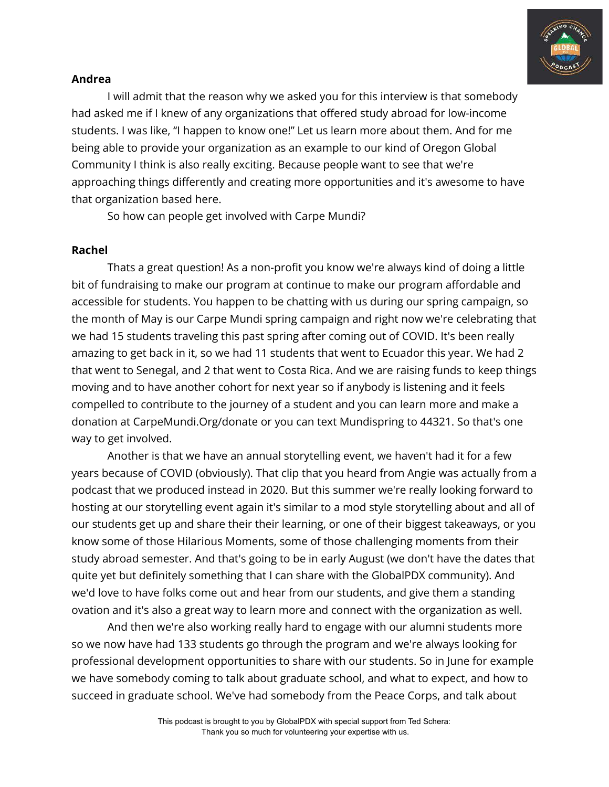

## **Andrea**

I will admit that the reason why we asked you for this interview is that somebody had asked me if I knew of any organizations that offered study abroad for low-income students. I was like, "I happen to know one!" Let us learn more about them. And for me being able to provide your organization as an example to our kind of Oregon Global Community I think is also really exciting. Because people want to see that we're approaching things differently and creating more opportunities and it's awesome to have that organization based here.

So how can people get involved with Carpe Mundi?

## **Rachel**

Thats a great question! As a non-profit you know we're always kind of doing a little bit of fundraising to make our program at continue to make our program affordable and accessible for students. You happen to be chatting with us during our spring campaign, so the month of May is our Carpe Mundi spring campaign and right now we're celebrating that we had 15 students traveling this past spring after coming out of COVID. It's been really amazing to get back in it, so we had 11 students that went to Ecuador this year. We had 2 that went to Senegal, and 2 that went to Costa Rica. And we are raising funds to keep things moving and to have another cohort for next year so if anybody is listening and it feels compelled to contribute to the journey of a student and you can learn more and make a donation at CarpeMundi.Org/donate or you can text Mundispring to 44321. So that's one way to get involved.

Another is that we have an annual storytelling event, we haven't had it for a few years because of COVID (obviously). That clip that you heard from Angie was actually from a podcast that we produced instead in 2020. But this summer we're really looking forward to hosting at our storytelling event again it's similar to a mod style storytelling about and all of our students get up and share their their learning, or one of their biggest takeaways, or you know some of those Hilarious Moments, some of those challenging moments from their study abroad semester. And that's going to be in early August (we don't have the dates that quite yet but definitely something that I can share with the GlobalPDX community). And we'd love to have folks come out and hear from our students, and give them a standing ovation and it's also a great way to learn more and connect with the organization as well.

And then we're also working really hard to engage with our alumni students more so we now have had 133 students go through the program and we're always looking for professional development opportunities to share with our students. So in June for example we have somebody coming to talk about graduate school, and what to expect, and how to succeed in graduate school. We've had somebody from the Peace Corps, and talk about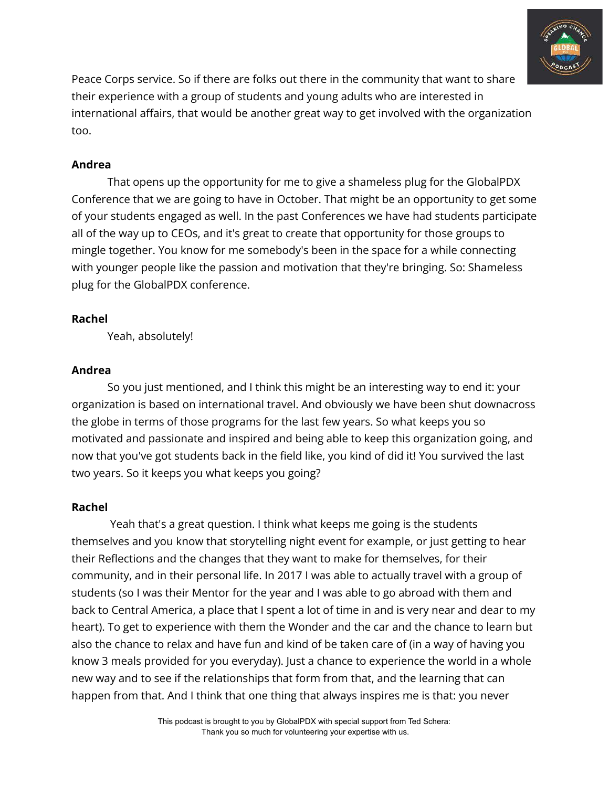

Peace Corps service. So if there are folks out there in the community that want to share their experience with a group of students and young adults who are interested in international affairs, that would be another great way to get involved with the organization too.

# **Andrea**

That opens up the opportunity for me to give a shameless plug for the GlobalPDX Conference that we are going to have in October. That might be an opportunity to get some of your students engaged as well. In the past Conferences we have had students participate all of the way up to CEOs, and it's great to create that opportunity for those groups to mingle together. You know for me somebody's been in the space for a while connecting with younger people like the passion and motivation that they're bringing. So: Shameless plug for the GlobalPDX conference.

# **Rachel**

Yeah, absolutely!

# **Andrea**

So you just mentioned, and I think this might be an interesting way to end it: your organization is based on international travel. And obviously we have been shut downacross the globe in terms of those programs for the last few years. So what keeps you so motivated and passionate and inspired and being able to keep this organization going, and now that you've got students back in the field like, you kind of did it! You survived the last two years. So it keeps you what keeps you going?

# **Rachel**

Yeah that's a great question. I think what keeps me going is the students themselves and you know that storytelling night event for example, or just getting to hear their Reflections and the changes that they want to make for themselves, for their community, and in their personal life. In 2017 I was able to actually travel with a group of students (so I was their Mentor for the year and I was able to go abroad with them and back to Central America, a place that I spent a lot of time in and is very near and dear to my heart). To get to experience with them the Wonder and the car and the chance to learn but also the chance to relax and have fun and kind of be taken care of (in a way of having you know 3 meals provided for you everyday). Just a chance to experience the world in a whole new way and to see if the relationships that form from that, and the learning that can happen from that. And I think that one thing that always inspires me is that: you never